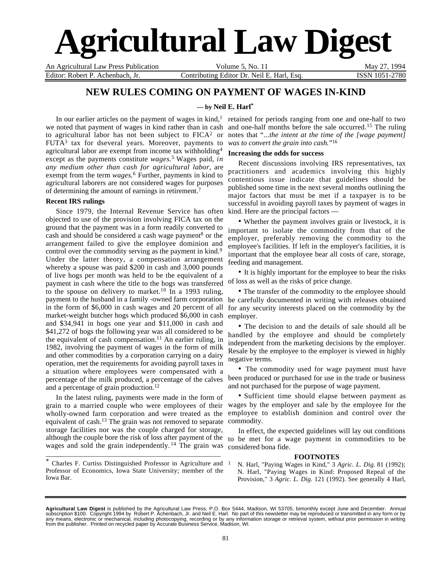# **Agricultural Law Digest**

An Agricultural Law Press Publication Volume 5, No. 11 May 27, 1994 Editor: Robert P. Achenbach, Jr. Contributing Editor Dr. Neil E. Harl, Esq. ISSN 1051-2780

## **NEW RULES COMING ON PAYMENT OF WAGES IN-KIND**

## **— by Neil E. Harl\***

In our earlier articles on the payment of wages in kind, $<sup>1</sup>$ </sup> we noted that payment of wages in kind rather than in cash to agricultural labor has not been subject to  $FICA<sup>2</sup>$  or FUTA3 tax for dseveral years. Moreover, payments to agricultural labor are exempt from income tax withholding4 except as the payments constitute *wages.*<sup>5</sup> Wages paid, *in any medium other than cash for agricultural labor*, are exempt from the term *wages*.6 Further, payments in kind to agricultural laborers are not considered wages for purposes of determining the amount of earnings in retirement.7

## **Recent IRS rulings**

Since 1979, the Internal Revenue Service has often kind. Here are the principal factors objected to use of the provision involving FICA tax on the ground that the payment was in a form readily converted to cash and should be considered a cash wage payment<sup>8</sup> or the arrangement failed to give the employee dominion and control over the commodity serving as the payment in kind.<sup>9</sup> Under the latter theory, a compensation arrangement whereby a spouse was paid \$200 in cash and 3,000 pounds of live hogs per month was held to be the equivalent of a payment in cash where the title to the hogs was transferred to the spouse on delivery to market.10 In a 1993 ruling, payment to the husband in a family -owned farm corporation in the form of \$6,000 in cash wages and 20 percent of all market-weight butcher hogs which produced \$6,000 in cash and \$34,941 in hogs one year and \$11,000 in cash and \$41,272 of hogs the following year was all considered to be the equivalent of cash compensation.<sup>11</sup> An earlier ruling, in 1982, involving the payment of wages in the form of milk and other commodities by a corporation carrying on a dairy operation, met the requirements for avoiding payroll taxes in a situation where employees were compensated with a percentage of the milk produced, a percentage of the calves and a percentage of grain production.12

In the latest ruling, payments were made in the form of grain to a married couple who were employees of their wholly-owned farm corporation and were treated as the equivalent of cash.13 The grain was not removed to separate storage facilities nor was the couple charged for storage, although the couple bore the risk of loss after payment of the to be met for a wage payment in commodities to be wages and sold the grain independently.<sup>14</sup> The grain was

\* Charles F. Curtiss Distinguished Professor in Agriculture and Professor of Economics, Iowa State University; member of the Iowa Bar.

\_\_\_\_\_\_\_\_\_\_\_\_\_\_\_\_\_\_\_\_\_\_\_\_\_\_\_\_\_\_\_\_\_\_\_\_\_\_\_\_\_\_\_\_\_\_\_\_\_\_\_\_\_

retained for periods ranging from one and one-half to two and one-half months before the sale occurred.15 The ruling notes that "*...the intent at the time of the [wage payment] was to convert the grain into cash.*"16

## **Increasing the odds for success**

Recent discussions involving IRS representatives, tax practitioners and academics involving this highly contentious issue indicate that guidelines should be published some time in the next several months outlining the major factors that must be met if a taxpayer is to be successful in avoiding payroll taxes by payment of wages in

• Whether the payment involves grain or livestock, it is important to isolate the commodity from that of the employer, preferably removing the commodity to the employee's facilities. If left in the employer's facilities, it is important that the employee bear all costs of care, storage, feeding and management.

• It is highly important for the employee to bear the risks of loss as well as the risks of price change.

• The transfer of the commodity to the employee should be carefully documented in writing with releases obtained for any security interests placed on the commodity by the employer.

• The decision to and the details of sale should all be handled by the employee and should be completely independent from the marketing decisions by the employer. Resale by the employee to the employer is viewed in highly negative terms.

• The commodity used for wage payment must have been produced or purchased for use in the trade or business and not purchased for the purpose of wage payment.

• Sufficient time should elapse between payment as wages by the employer and sale by the employee for the employee to establish dominion and control over the commodity.

In effect, the expected guidelines will lay out conditions considered bona fide.

#### **FOOTNOTES**

<sup>1</sup> N. Harl, "Paying Wages in Kind," 3 *Agric. L. Dig.* 81 (1992); N. Harl, "Paying Wages in Kind: Proposed Repeal of the Provision," 3 *Agric. L. Dig.* 121 (1992). See generally 4 Harl,

**Agricultural Law Digest** is published by the Agricultural Law Press, P.O. Box 5444, Madison, WI 53705, bimonthly except June and December. Annual<br>subscription \$100. Copyright 1994 by Robert P. Achenbach, Jr. and Neil E. H any means, electronic or mechanical, including photocopying, recording or by any information storage or retrieval system, without prior permission in writing<br>from the publisher. Printed on recycled paper by Accurate Busin